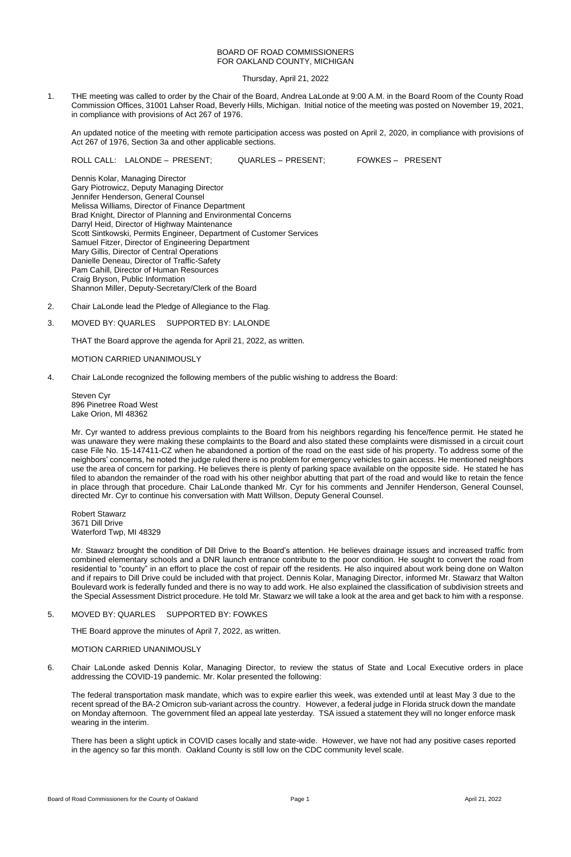## BOARD OF ROAD COMMISSIONERS FOR OAKLAND COUNTY, MICHIGAN

Thursday, April 21, 2022

1. THE meeting was called to order by the Chair of the Board, Andrea LaLonde at 9:00 A.M. in the Board Room of the County Road Commission Offices, 31001 Lahser Road, Beverly Hills, Michigan. Initial notice of the meeting was posted on November 19, 2021, in compliance with provisions of Act 267 of 1976.

An updated notice of the meeting with remote participation access was posted on April 2, 2020, in compliance with provisions of Act 267 of 1976, Section 3a and other applicable sections.

ROLL CALL: LALONDE – PRESENT; QUARLES – PRESENT; FOWKES – PRESENT

Dennis Kolar, Managing Director Gary Piotrowicz, Deputy Managing Director Jennifer Henderson, General Counsel Melissa Williams, Director of Finance Department Brad Knight, Director of Planning and Environmental Concerns Darryl Heid, Director of Highway Maintenance Scott Sintkowski, Permits Engineer, Department of Customer Services Samuel Fitzer, Director of Engineering Department Mary Gillis, Director of Central Operations Danielle Deneau, Director of Traffic-Safety Pam Cahill, Director of Human Resources Craig Bryson, Public Information Shannon Miller, Deputy-Secretary/Clerk of the Board

- 2. Chair LaLonde lead the Pledge of Allegiance to the Flag.
- 3. MOVED BY: QUARLES SUPPORTED BY: LALONDE

THAT the Board approve the agenda for April 21, 2022, as written.

MOTION CARRIED UNANIMOUSLY

4. Chair LaLonde recognized the following members of the public wishing to address the Board:

Steven Cyr 896 Pinetree Road West Lake Orion, MI 48362

Mr. Cyr wanted to address previous complaints to the Board from his neighbors regarding his fence/fence permit. He stated he was unaware they were making these complaints to the Board and also stated these complaints were dismissed in a circuit court case File No. 15-147411-CZ when he abandoned a portion of the road on the east side of his property. To address some of the neighbors' concerns, he noted the judge ruled there is no problem for emergency vehicles to gain access. He mentioned neighbors use the area of concern for parking. He believes there is plenty of parking space available on the opposite side. He stated he has filed to abandon the remainder of the road with his other neighbor abutting that part of the road and would like to retain the fence in place through that procedure. Chair LaLonde thanked Mr. Cyr for his comments and Jennifer Henderson, General Counsel, directed Mr. Cyr to continue his conversation with Matt Willson, Deputy General Counsel.

Robert Stawarz 3671 Dill Drive Waterford Twp, MI 48329

Mr. Stawarz brought the condition of Dill Drive to the Board's attention. He believes drainage issues and increased traffic from combined elementary schools and a DNR launch entrance contribute to the poor condition. He sought to convert the road from residential to "county" in an effort to place the cost of repair off the residents. He also inquired about work being done on Walton and if repairs to Dill Drive could be included with that project. Dennis Kolar, Managing Director, informed Mr. Stawarz that Walton Boulevard work is federally funded and there is no way to add work. He also explained the classification of subdivision streets and the Special Assessment District procedure. He told Mr. Stawarz we will take a look at the area and get back to him with a response.

## 5. MOVED BY: QUARLES SUPPORTED BY: FOWKES

THE Board approve the minutes of April 7, 2022, as written.

MOTION CARRIED UNANIMOUSLY

6. Chair LaLonde asked Dennis Kolar, Managing Director, to review the status of State and Local Executive orders in place addressing the COVID-19 pandemic. Mr. Kolar presented the following:

The federal transportation mask mandate, which was to expire earlier this week, was extended until at least May 3 due to the recent spread of the BA-2 Omicron sub-variant across the country. However, a federal judge in Florida struck down the mandate on Monday afternoon. The government filed an appeal late yesterday. TSA issued a statement they will no longer enforce mask wearing in the interim.

There has been a slight uptick in COVID cases locally and state-wide. However, we have not had any positive cases reported in the agency so far this month. Oakland County is still low on the CDC community level scale.

Board of Road Commissioners for the County of Oakland **Page 1** Page 1 April 21, 2022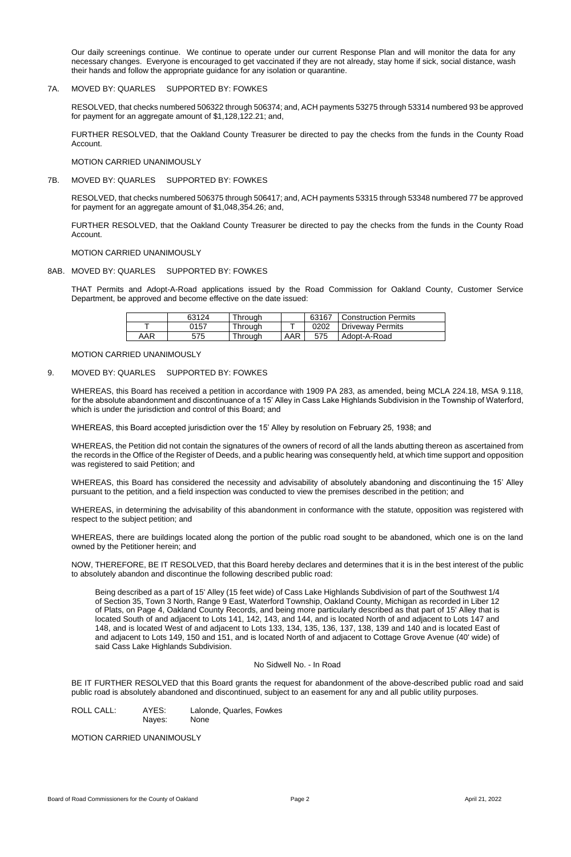Our daily screenings continue. We continue to operate under our current Response Plan and will monitor the data for any necessary changes. Everyone is encouraged to get vaccinated if they are not already, stay home if sick, social distance, wash their hands and follow the appropriate guidance for any isolation or quarantine.

## 7A. MOVED BY: QUARLES SUPPORTED BY: FOWKES

RESOLVED, that checks numbered 506322 through 506374; and, ACH payments 53275 through 53314 numbered 93 be approved for payment for an aggregate amount of \$1,128,122.21; and,

FURTHER RESOLVED, that the Oakland County Treasurer be directed to pay the checks from the funds in the County Road Account.

MOTION CARRIED UNANIMOUSLY

7B. MOVED BY: QUARLES SUPPORTED BY: FOWKES

RESOLVED, that checks numbered 506375 through 506417; and, ACH payments 53315 through 53348 numbered 77 be approved for payment for an aggregate amount of \$1,048,354.26; and,

FURTHER RESOLVED, that the Oakland County Treasurer be directed to pay the checks from the funds in the County Road Account.

MOTION CARRIED UNANIMOUSLY

#### 8AB. MOVED BY: QUARLES SUPPORTED BY: FOWKES

THAT Permits and Adopt-A-Road applications issued by the Road Commission for Oakland County, Customer Service Department, be approved and become effective on the date issued:

|     | 63124 | Through |     | 63167 | Construction Permits    |
|-----|-------|---------|-----|-------|-------------------------|
|     | 0157  | Through |     | 0202  | <b>Driveway Permits</b> |
| AAR | 575   | Through | AAR | 575   | Adopt-A-Road            |

MOTION CARRIED UNANIMOUSLY

### 9. MOVED BY: QUARLES SUPPORTED BY: FOWKES

WHEREAS, this Board has received a petition in accordance with 1909 PA 283, as amended, being MCLA 224.18, MSA 9.118, for the absolute abandonment and discontinuance of a 15' Alley in Cass Lake Highlands Subdivision in the Township of Waterford, which is under the jurisdiction and control of this Board; and

WHEREAS, this Board accepted jurisdiction over the 15' Alley by resolution on February 25, 1938; and

WHEREAS, the Petition did not contain the signatures of the owners of record of all the lands abutting thereon as ascertained from the records in the Office of the Register of Deeds, and a public hearing was consequently held, at which time support and opposition was registered to said Petition; and

WHEREAS, this Board has considered the necessity and advisability of absolutely abandoning and discontinuing the 15' Alley pursuant to the petition, and a field inspection was conducted to view the premises described in the petition; and

WHEREAS, in determining the advisability of this abandonment in conformance with the statute, opposition was registered with respect to the subject petition; and

WHEREAS, there are buildings located along the portion of the public road sought to be abandoned, which one is on the land owned by the Petitioner herein; and

NOW, THEREFORE, BE IT RESOLVED, that this Board hereby declares and determines that it is in the best interest of the public to absolutely abandon and discontinue the following described public road:

Being described as a part of 15' Alley (15 feet wide) of Cass Lake Highlands Subdivision of part of the Southwest 1/4

of Section 35, Town 3 North, Range 9 East, Waterford Township, Oakland County, Michigan as recorded in Liber 12 of Plats, on Page 4, Oakland County Records, and being more particularly described as that part of 15' Alley that is located South of and adjacent to Lots 141, 142, 143, and 144, and is located North of and adjacent to Lots 147 and 148, and is located West of and adjacent to Lots 133, 134, 135, 136, 137, 138, 139 and 140 and is located East of and adjacent to Lots 149, 150 and 151, and is located North of and adjacent to Cottage Grove Avenue (40' wide) of said Cass Lake Highlands Subdivision.

# No Sidwell No. - In Road

BE IT FURTHER RESOLVED that this Board grants the request for abandonment of the above-described public road and said public road is absolutely abandoned and discontinued, subject to an easement for any and all public utility purposes.

ROLL CALL: AYES: Lalonde, Quarles, Fowkes Nayes: None

MOTION CARRIED UNANIMOUSLY

Board of Road Commissioners for the County of Oakland **Page 2 Page 2** April 21, 2022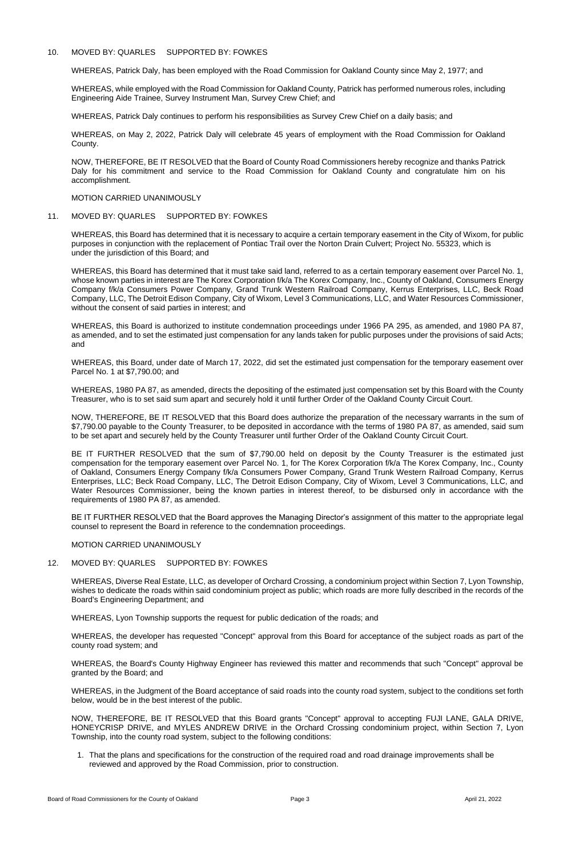## 10. MOVED BY: QUARLES SUPPORTED BY: FOWKES

WHEREAS, Patrick Daly, has been employed with the Road Commission for Oakland County since May 2, 1977; and

WHEREAS, while employed with the Road Commission for Oakland County, Patrick has performed numerous roles, including Engineering Aide Trainee, Survey Instrument Man, Survey Crew Chief; and

WHEREAS, Patrick Daly continues to perform his responsibilities as Survey Crew Chief on a daily basis; and

WHEREAS, on May 2, 2022, Patrick Daly will celebrate 45 years of employment with the Road Commission for Oakland County.

NOW, THEREFORE, BE IT RESOLVED that the Board of County Road Commissioners hereby recognize and thanks Patrick Daly for his commitment and service to the Road Commission for Oakland County and congratulate him on his accomplishment.

### MOTION CARRIED UNANIMOUSLY

## 11. MOVED BY: QUARLES SUPPORTED BY: FOWKES

WHEREAS, this Board has determined that it is necessary to acquire a certain temporary easement in the City of Wixom, for public purposes in conjunction with the replacement of Pontiac Trail over the Norton Drain Culvert; Project No. 55323, which is under the jurisdiction of this Board; and

WHEREAS, this Board has determined that it must take said land, referred to as a certain temporary easement over Parcel No. 1, whose known parties in interest are The Korex Corporation f/k/a The Korex Company, Inc., County of Oakland, Consumers Energy Company f/k/a Consumers Power Company, Grand Trunk Western Railroad Company, Kerrus Enterprises, LLC, Beck Road Company, LLC, The Detroit Edison Company, City of Wixom, Level 3 Communications, LLC, and Water Resources Commissioner, without the consent of said parties in interest; and

WHEREAS, this Board is authorized to institute condemnation proceedings under 1966 PA 295, as amended, and 1980 PA 87, as amended, and to set the estimated just compensation for any lands taken for public purposes under the provisions of said Acts; and

WHEREAS, this Board, under date of March 17, 2022, did set the estimated just compensation for the temporary easement over Parcel No. 1 at \$7,790.00; and

WHEREAS, 1980 PA 87, as amended, directs the depositing of the estimated just compensation set by this Board with the County Treasurer, who is to set said sum apart and securely hold it until further Order of the Oakland County Circuit Court.

NOW, THEREFORE, BE IT RESOLVED that this Board does authorize the preparation of the necessary warrants in the sum of \$7,790.00 payable to the County Treasurer, to be deposited in accordance with the terms of 1980 PA 87, as amended, said sum to be set apart and securely held by the County Treasurer until further Order of the Oakland County Circuit Court.

BE IT FURTHER RESOLVED that the sum of \$7,790.00 held on deposit by the County Treasurer is the estimated just compensation for the temporary easement over Parcel No. 1, for The Korex Corporation f/k/a The Korex Company, Inc., County of Oakland, Consumers Energy Company f/k/a Consumers Power Company, Grand Trunk Western Railroad Company, Kerrus Enterprises, LLC; Beck Road Company, LLC, The Detroit Edison Company, City of Wixom, Level 3 Communications, LLC, and Water Resources Commissioner, being the known parties in interest thereof, to be disbursed only in accordance with the requirements of 1980 PA 87, as amended.

BE IT FURTHER RESOLVED that the Board approves the Managing Director's assignment of this matter to the appropriate legal counsel to represent the Board in reference to the condemnation proceedings.

### MOTION CARRIED UNANIMOUSLY

## 12. MOVED BY: QUARLES SUPPORTED BY: FOWKES

WHEREAS, Diverse Real Estate, LLC, as developer of Orchard Crossing, a condominium project within Section 7, Lyon Township, wishes to dedicate the roads within said condominium project as public; which roads are more fully described in the records of the

Board's Engineering Department; and

WHEREAS, Lyon Township supports the request for public dedication of the roads; and

WHEREAS, the developer has requested "Concept" approval from this Board for acceptance of the subject roads as part of the county road system; and

WHEREAS, the Board's County Highway Engineer has reviewed this matter and recommends that such "Concept" approval be granted by the Board; and

WHEREAS, in the Judgment of the Board acceptance of said roads into the county road system, subject to the conditions set forth below, would be in the best interest of the public.

NOW, THEREFORE, BE IT RESOLVED that this Board grants "Concept" approval to accepting FUJI LANE, GALA DRIVE, HONEYCRISP DRIVE, and MYLES ANDREW DRIVE in the Orchard Crossing condominium project, within Section 7, Lyon Township, into the county road system, subject to the following conditions:

1. That the plans and specifications for the construction of the required road and road drainage improvements shall be reviewed and approved by the Road Commission, prior to construction.

Board of Road Commissioners for the County of Oakland **Page 3** April 21, 2022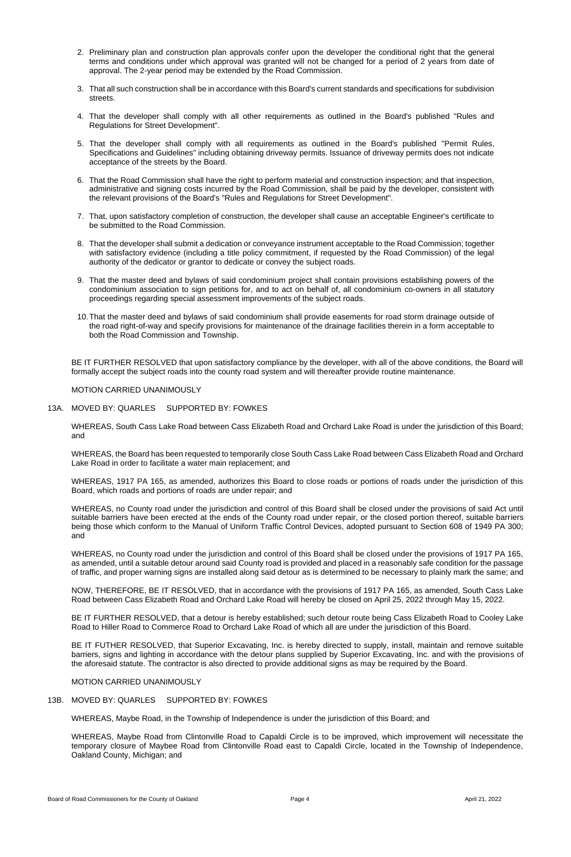- 2. Preliminary plan and construction plan approvals confer upon the developer the conditional right that the general terms and conditions under which approval was granted will not be changed for a period of 2 years from date of approval. The 2-year period may be extended by the Road Commission.
- 3. That all such construction shall be in accordance with this Board's current standards and specifications for subdivision streets.
- 4. That the developer shall comply with all other requirements as outlined in the Board's published "Rules and Regulations for Street Development".
- 5. That the developer shall comply with all requirements as outlined in the Board's published "Permit Rules, Specifications and Guidelines" including obtaining driveway permits. Issuance of driveway permits does not indicate acceptance of the streets by the Board.
- 6. That the Road Commission shall have the right to perform material and construction inspection; and that inspection, administrative and signing costs incurred by the Road Commission, shall be paid by the developer, consistent with the relevant provisions of the Board's "Rules and Regulations for Street Development".
- 7. That, upon satisfactory completion of construction, the developer shall cause an acceptable Engineer's certificate to be submitted to the Road Commission.
- 8. That the developer shall submit a dedication or conveyance instrument acceptable to the Road Commission; together with satisfactory evidence (including a title policy commitment, if requested by the Road Commission) of the legal authority of the dedicator or grantor to dedicate or convey the subject roads.
- 9. That the master deed and bylaws of said condominium project shall contain provisions establishing powers of the condominium association to sign petitions for, and to act on behalf of, all condominium co-owners in all statutory proceedings regarding special assessment improvements of the subject roads.
- 10.That the master deed and bylaws of said condominium shall provide easements for road storm drainage outside of the road right-of-way and specify provisions for maintenance of the drainage facilities therein in a form acceptable to both the Road Commission and Township.

BE IT FURTHER RESOLVED that upon satisfactory compliance by the developer, with all of the above conditions, the Board will formally accept the subject roads into the county road system and will thereafter provide routine maintenance.

### MOTION CARRIED UNANIMOUSLY

### 13A. MOVED BY: QUARLES SUPPORTED BY: FOWKES

WHEREAS, South Cass Lake Road between Cass Elizabeth Road and Orchard Lake Road is under the jurisdiction of this Board; and

WHEREAS, the Board has been requested to temporarily close South Cass Lake Road between Cass Elizabeth Road and Orchard Lake Road in order to facilitate a water main replacement; and

WHEREAS, 1917 PA 165, as amended, authorizes this Board to close roads or portions of roads under the jurisdiction of this Board, which roads and portions of roads are under repair; and

WHEREAS, no County road under the jurisdiction and control of this Board shall be closed under the provisions of said Act until suitable barriers have been erected at the ends of the County road under repair, or the closed portion thereof, suitable barriers being those which conform to the Manual of Uniform Traffic Control Devices, adopted pursuant to Section 608 of 1949 PA 300; and

WHEREAS, no County road under the jurisdiction and control of this Board shall be closed under the provisions of 1917 PA 165, as amended, until a suitable detour around said County road is provided and placed in a reasonably safe condition for the passage of traffic, and proper warning signs are installed along said detour as is determined to be necessary to plainly mark the same; and

NOW, THEREFORE, BE IT RESOLVED, that in accordance with the provisions of 1917 PA 165, as amended, South Cass Lake

Road between Cass Elizabeth Road and Orchard Lake Road will hereby be closed on April 25, 2022 through May 15, 2022.

BE IT FURTHER RESOLVED, that a detour is hereby established; such detour route being Cass Elizabeth Road to Cooley Lake Road to Hiller Road to Commerce Road to Orchard Lake Road of which all are under the jurisdiction of this Board.

BE IT FUTHER RESOLVED, that Superior Excavating, Inc. is hereby directed to supply, install, maintain and remove suitable barriers, signs and lighting in accordance with the detour plans supplied by Superior Excavating, Inc. and with the provisions of the aforesaid statute. The contractor is also directed to provide additional signs as may be required by the Board.

MOTION CARRIED UNANIMOUSLY

## 13B. MOVED BY: QUARLES SUPPORTED BY: FOWKES

WHEREAS, Maybe Road, in the Township of Independence is under the jurisdiction of this Board; and

WHEREAS, Maybe Road from Clintonville Road to Capaldi Circle is to be improved, which improvement will necessitate the temporary closure of Maybee Road from Clintonville Road east to Capaldi Circle, located in the Township of Independence, Oakland County, Michigan; and

Board of Road Commissioners for the County of Oakland **Page 4** Page 4 April 21, 2022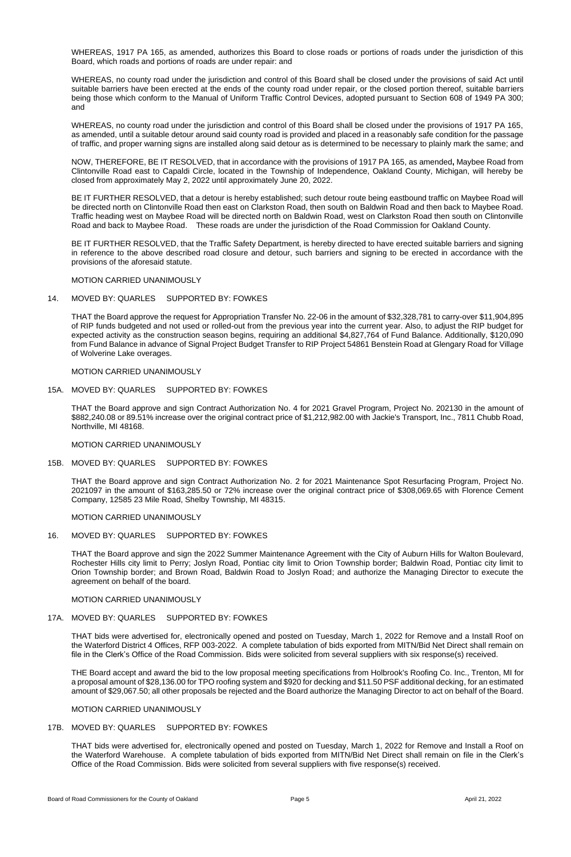WHEREAS, 1917 PA 165, as amended, authorizes this Board to close roads or portions of roads under the jurisdiction of this Board, which roads and portions of roads are under repair: and

WHEREAS, no county road under the jurisdiction and control of this Board shall be closed under the provisions of said Act until suitable barriers have been erected at the ends of the county road under repair, or the closed portion thereof, suitable barriers being those which conform to the Manual of Uniform Traffic Control Devices, adopted pursuant to Section 608 of 1949 PA 300; and

WHEREAS, no county road under the jurisdiction and control of this Board shall be closed under the provisions of 1917 PA 165, as amended, until a suitable detour around said county road is provided and placed in a reasonably safe condition for the passage of traffic, and proper warning signs are installed along said detour as is determined to be necessary to plainly mark the same; and

NOW, THEREFORE, BE IT RESOLVED, that in accordance with the provisions of 1917 PA 165, as amended**,** Maybee Road from Clintonville Road east to Capaldi Circle, located in the Township of Independence, Oakland County, Michigan, will hereby be closed from approximately May 2, 2022 until approximately June 20, 2022.

BE IT FURTHER RESOLVED, that a detour is hereby established; such detour route being eastbound traffic on Maybee Road will be directed north on Clintonville Road then east on Clarkston Road, then south on Baldwin Road and then back to Maybee Road. Traffic heading west on Maybee Road will be directed north on Baldwin Road, west on Clarkston Road then south on Clintonville Road and back to Maybee Road. These roads are under the jurisdiction of the Road Commission for Oakland County.

BE IT FURTHER RESOLVED, that the Traffic Safety Department, is hereby directed to have erected suitable barriers and signing in reference to the above described road closure and detour, such barriers and signing to be erected in accordance with the provisions of the aforesaid statute.

MOTION CARRIED UNANIMOUSLY

## 14. MOVED BY: QUARLES SUPPORTED BY: FOWKES

THAT the Board approve the request for Appropriation Transfer No. 22-06 in the amount of \$32,328,781 to carry-over \$11,904,895 of RIP funds budgeted and not used or rolled-out from the previous year into the current year. Also, to adjust the RIP budget for expected activity as the construction season begins, requiring an additional \$4,827,764 of Fund Balance. Additionally, \$120,090 from Fund Balance in advance of Signal Project Budget Transfer to RIP Project 54861 Benstein Road at Glengary Road for Village of Wolverine Lake overages.

MOTION CARRIED UNANIMOUSLY

### 15A. MOVED BY: QUARLES SUPPORTED BY: FOWKES

THAT the Board approve and sign Contract Authorization No. 4 for 2021 Gravel Program, Project No. 202130 in the amount of \$882,240.08 or 89.51% increase over the original contract price of \$1,212,982.00 with Jackie's Transport, Inc., 7811 Chubb Road, Northville, MI 48168.

MOTION CARRIED UNANIMOUSLY

### 15B. MOVED BY: QUARLES SUPPORTED BY: FOWKES

THAT the Board approve and sign Contract Authorization No. 2 for 2021 Maintenance Spot Resurfacing Program, Project No. 2021097 in the amount of \$163,285.50 or 72% increase over the original contract price of \$308,069.65 with Florence Cement Company, 12585 23 Mile Road, Shelby Township, MI 48315.

MOTION CARRIED UNANIMOUSLY

### 16. MOVED BY: QUARLES SUPPORTED BY: FOWKES

THAT the Board approve and sign the 2022 Summer Maintenance Agreement with the City of Auburn Hills for Walton Boulevard, Rochester Hills city limit to Perry; Joslyn Road, Pontiac city limit to Orion Township border; Baldwin Road, Pontiac city limit to Orion Township border; and Brown Road, Baldwin Road to Joslyn Road; and authorize the Managing Director to execute the agreement on behalf of the board.

### MOTION CARRIED UNANIMOUSLY

# 17A. MOVED BY: QUARLES SUPPORTED BY: FOWKES

THAT bids were advertised for, electronically opened and posted on Tuesday, March 1, 2022 for Remove and a Install Roof on the Waterford District 4 Offices, RFP 003-2022. A complete tabulation of bids exported from MITN/Bid Net Direct shall remain on file in the Clerk's Office of the Road Commission. Bids were solicited from several suppliers with six response(s) received.

THE Board accept and award the bid to the low proposal meeting specifications from Holbrook's Roofing Co. Inc., Trenton, MI for a proposal amount of \$28,136.00 for TPO roofing system and \$920 for decking and \$11.50 PSF additional decking, for an estimated amount of \$29,067.50; all other proposals be rejected and the Board authorize the Managing Director to act on behalf of the Board.

MOTION CARRIED UNANIMOUSLY

# 17B. MOVED BY: QUARLES SUPPORTED BY: FOWKES

THAT bids were advertised for, electronically opened and posted on Tuesday, March 1, 2022 for Remove and Install a Roof on the Waterford Warehouse. A complete tabulation of bids exported from MITN/Bid Net Direct shall remain on file in the Clerk's Office of the Road Commission. Bids were solicited from several suppliers with five response(s) received.

Board of Road Commissioners for the County of Oakland **Page 5** Page 5 April 21, 2022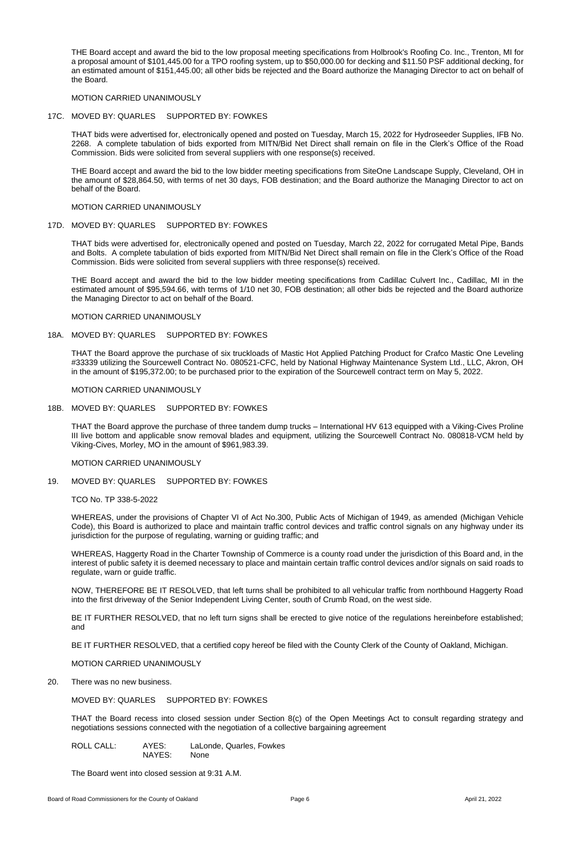THE Board accept and award the bid to the low proposal meeting specifications from Holbrook's Roofing Co. Inc., Trenton, MI for a proposal amount of \$101,445.00 for a TPO roofing system, up to \$50,000.00 for decking and \$11.50 PSF additional decking, for an estimated amount of \$151,445.00; all other bids be rejected and the Board authorize the Managing Director to act on behalf of the Board.

#### MOTION CARRIED UNANIMOUSLY

### 17C. MOVED BY: QUARLES SUPPORTED BY: FOWKES

THAT bids were advertised for, electronically opened and posted on Tuesday, March 15, 2022 for Hydroseeder Supplies, IFB No. 2268. A complete tabulation of bids exported from MITN/Bid Net Direct shall remain on file in the Clerk's Office of the Road Commission. Bids were solicited from several suppliers with one response(s) received.

THE Board accept and award the bid to the low bidder meeting specifications from SiteOne Landscape Supply, Cleveland, OH in the amount of \$28,864.50, with terms of net 30 days, FOB destination; and the Board authorize the Managing Director to act on behalf of the Board.

MOTION CARRIED UNANIMOUSLY

#### 17D. MOVED BY: QUARLES SUPPORTED BY: FOWKES

THAT bids were advertised for, electronically opened and posted on Tuesday, March 22, 2022 for corrugated Metal Pipe, Bands and Bolts. A complete tabulation of bids exported from MITN/Bid Net Direct shall remain on file in the Clerk's Office of the Road Commission. Bids were solicited from several suppliers with three response(s) received.

THE Board accept and award the bid to the low bidder meeting specifications from Cadillac Culvert Inc., Cadillac, MI in the estimated amount of \$95,594.66, with terms of 1/10 net 30, FOB destination; all other bids be rejected and the Board authorize the Managing Director to act on behalf of the Board.

#### MOTION CARRIED UNANIMOUSLY

#### 18A. MOVED BY: QUARLES SUPPORTED BY: FOWKES

THAT the Board approve the purchase of six truckloads of Mastic Hot Applied Patching Product for Crafco Mastic One Leveling #33339 utilizing the Sourcewell Contract No. 080521-CFC, held by National Highway Maintenance System Ltd., LLC, Akron, OH in the amount of \$195,372.00; to be purchased prior to the expiration of the Sourcewell contract term on May 5, 2022.

#### MOTION CARRIED UNANIMOUSLY

#### 18B. MOVED BY: QUARLES SUPPORTED BY: FOWKES

THAT the Board approve the purchase of three tandem dump trucks – International HV 613 equipped with a Viking-Cives Proline III live bottom and applicable snow removal blades and equipment, utilizing the Sourcewell Contract No. 080818-VCM held by Viking-Cives, Morley, MO in the amount of \$961,983.39.

#### MOTION CARRIED UNANIMOUSLY

#### 19. MOVED BY: QUARLES SUPPORTED BY: FOWKES

#### TCO No. TP 338-5-2022

WHEREAS, under the provisions of Chapter VI of Act No.300, Public Acts of Michigan of 1949, as amended (Michigan Vehicle Code), this Board is authorized to place and maintain traffic control devices and traffic control signals on any highway under its jurisdiction for the purpose of regulating, warning or guiding traffic; and

WHEREAS, Haggerty Road in the Charter Township of Commerce is a county road under the jurisdiction of this Board and, in the interest of public safety it is deemed necessary to place and maintain certain traffic control devices and/or signals on said roads to regulate, warn or guide traffic.

NOW, THEREFORE BE IT RESOLVED, that left turns shall be prohibited to all vehicular traffic from northbound Haggerty Road

into the first driveway of the Senior Independent Living Center, south of Crumb Road, on the west side.

BE IT FURTHER RESOLVED, that no left turn signs shall be erected to give notice of the regulations hereinbefore established; and

BE IT FURTHER RESOLVED, that a certified copy hereof be filed with the County Clerk of the County of Oakland, Michigan.

MOTION CARRIED UNANIMOUSLY

20. There was no new business.

MOVED BY: QUARLES SUPPORTED BY: FOWKES

THAT the Board recess into closed session under Section 8(c) of the Open Meetings Act to consult regarding strategy and negotiations sessions connected with the negotiation of a collective bargaining agreement

ROLL CALL: AYES: LaLonde, Quarles, Fowkes NAYES: None

The Board went into closed session at 9:31 A.M.

Board of Road Commissioners for the County of Oakland **Page 6** April 21, 2022